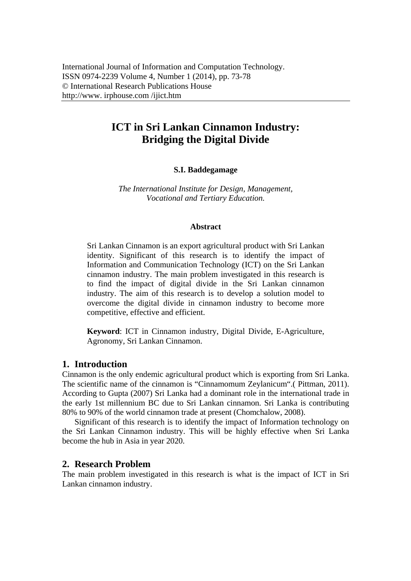# **ICT in Sri Lankan Cinnamon Industry: Bridging the Digital Divide**

## **S.I. Baddegamage**

*The International Institute for Design, Management, Vocational and Tertiary Education.* 

#### **Abstract**

Sri Lankan Cinnamon is an export agricultural product with Sri Lankan identity. Significant of this research is to identify the impact of Information and Communication Technology (ICT) on the Sri Lankan cinnamon industry. The main problem investigated in this research is to find the impact of digital divide in the Sri Lankan cinnamon industry. The aim of this research is to develop a solution model to overcome the digital divide in cinnamon industry to become more competitive, effective and efficient.

**Keyword**: ICT in Cinnamon industry, Digital Divide, E-Agriculture, Agronomy, Sri Lankan Cinnamon.

#### **1. Introduction**

Cinnamon is the only endemic agricultural product which is exporting from Sri Lanka. The scientific name of the cinnamon is "Cinnamomum Zeylanicum".( Pittman, 2011). According to Gupta (2007) Sri Lanka had a dominant role in the international trade in the early 1st millennium BC due to Sri Lankan cinnamon. Sri Lanka is contributing 80% to 90% of the world cinnamon trade at present (Chomchalow, 2008).

Significant of this research is to identify the impact of Information technology on the Sri Lankan Cinnamon industry. This will be highly effective when Sri Lanka become the hub in Asia in year 2020.

### **2. Research Problem**

The main problem investigated in this research is what is the impact of ICT in Sri Lankan cinnamon industry.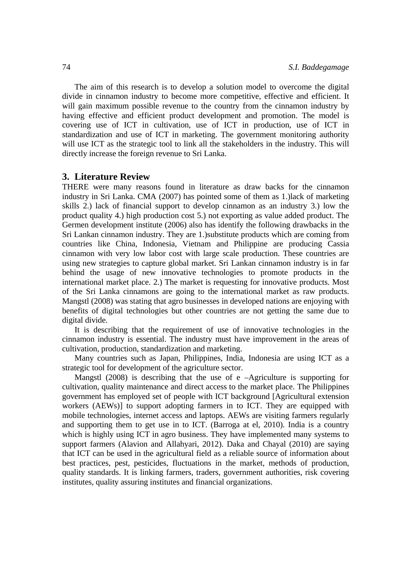The aim of this research is to develop a solution model to overcome the digital divide in cinnamon industry to become more competitive, effective and efficient. It will gain maximum possible revenue to the country from the cinnamon industry by having effective and efficient product development and promotion. The model is covering use of ICT in cultivation, use of ICT in production, use of ICT in standardization and use of ICT in marketing. The government monitoring authority will use ICT as the strategic tool to link all the stakeholders in the industry. This will directly increase the foreign revenue to Sri Lanka.

#### **3. Literature Review**

THERE were many reasons found in literature as draw backs for the cinnamon industry in Sri Lanka. CMA (2007) has pointed some of them as 1.)lack of marketing skills 2.) lack of financial support to develop cinnamon as an industry 3.) low the product quality 4.) high production cost 5.) not exporting as value added product. The Germen development institute (2006) also has identify the following drawbacks in the Sri Lankan cinnamon industry. They are 1.)substitute products which are coming from countries like China, Indonesia, Vietnam and Philippine are producing Cassia cinnamon with very low labor cost with large scale production. These countries are using new strategies to capture global market. Sri Lankan cinnamon industry is in far behind the usage of new innovative technologies to promote products in the international market place. 2.) The market is requesting for innovative products. Most of the Sri Lanka cinnamons are going to the international market as raw products. Mangstl (2008) was stating that agro businesses in developed nations are enjoying with benefits of digital technologies but other countries are not getting the same due to digital divide.

It is describing that the requirement of use of innovative technologies in the cinnamon industry is essential. The industry must have improvement in the areas of cultivation, production, standardization and marketing.

Many countries such as Japan, Philippines, India, Indonesia are using ICT as a strategic tool for development of the agriculture sector.

Mangstl (2008) is describing that the use of e –Agriculture is supporting for cultivation, quality maintenance and direct access to the market place. The Philippines government has employed set of people with ICT background [Agricultural extension workers (AEWs)] to support adopting farmers in to ICT. They are equipped with mobile technologies, internet access and laptops. AEWs are visiting farmers regularly and supporting them to get use in to ICT. (Barroga at el, 2010). India is a country which is highly using ICT in agro business. They have implemented many systems to support farmers (Alavion and Allahyari, 2012). Daka and Chayal (2010) are saying that ICT can be used in the agricultural field as a reliable source of information about best practices, pest, pesticides, fluctuations in the market, methods of production, quality standards. It is linking farmers, traders, government authorities, risk covering institutes, quality assuring institutes and financial organizations.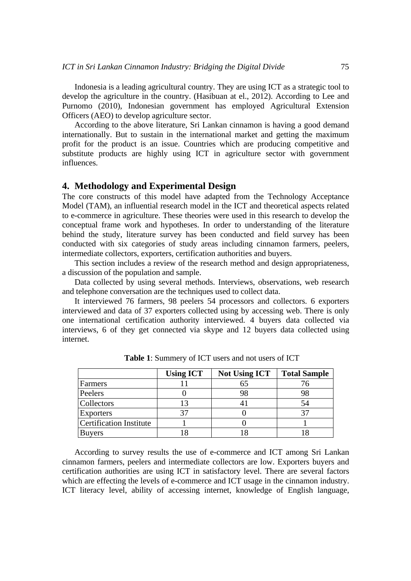Indonesia is a leading agricultural country. They are using ICT as a strategic tool to develop the agriculture in the country. (Hasibuan at el., 2012). According to Lee and Purnomo (2010), Indonesian government has employed Agricultural Extension Officers (AEO) to develop agriculture sector.

According to the above literature, Sri Lankan cinnamon is having a good demand internationally. But to sustain in the international market and getting the maximum profit for the product is an issue. Countries which are producing competitive and substitute products are highly using ICT in agriculture sector with government influences.

#### **4. Methodology and Experimental Design**

The core constructs of this model have adapted from the Technology Acceptance Model (TAM), an influential research model in the ICT and theoretical aspects related to e-commerce in agriculture. These theories were used in this research to develop the conceptual frame work and hypotheses. In order to understanding of the literature behind the study, literature survey has been conducted and field survey has been conducted with six categories of study areas including cinnamon farmers, peelers, intermediate collectors, exporters, certification authorities and buyers.

This section includes a review of the research method and design appropriateness, a discussion of the population and sample.

Data collected by using several methods. Interviews, observations, web research and telephone conversation are the techniques used to collect data.

It interviewed 76 farmers, 98 peelers 54 processors and collectors. 6 exporters interviewed and data of 37 exporters collected using by accessing web. There is only one international certification authority interviewed. 4 buyers data collected via interviews, 6 of they get connected via skype and 12 buyers data collected using internet.

|                                | <b>Using ICT</b> | <b>Not Using ICT</b> | <b>Total Sample</b> |
|--------------------------------|------------------|----------------------|---------------------|
| Farmers                        |                  | 65                   |                     |
| Peelers                        |                  | 98                   | 98                  |
| <b>Collectors</b>              |                  |                      | 54                  |
| <b>Exporters</b>               |                  |                      |                     |
| <b>Certification Institute</b> |                  |                      |                     |
| <b>Buyers</b>                  |                  |                      |                     |

**Table 1**: Summery of ICT users and not users of ICT

According to survey results the use of e-commerce and ICT among Sri Lankan cinnamon farmers, peelers and intermediate collectors are low. Exporters buyers and certification authorities are using ICT in satisfactory level. There are several factors which are effecting the levels of e-commerce and ICT usage in the cinnamon industry. ICT literacy level, ability of accessing internet, knowledge of English language,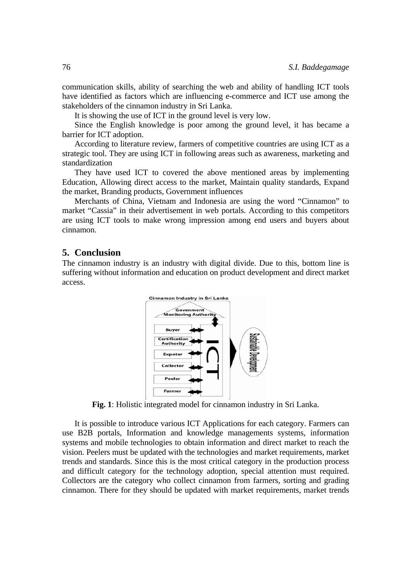communication skills, ability of searching the web and ability of handling ICT tools have identified as factors which are influencing e-commerce and ICT use among the stakeholders of the cinnamon industry in Sri Lanka.

It is showing the use of ICT in the ground level is very low.

Since the English knowledge is poor among the ground level, it has became a barrier for ICT adoption.

According to literature review, farmers of competitive countries are using ICT as a strategic tool. They are using ICT in following areas such as awareness, marketing and standardization

They have used ICT to covered the above mentioned areas by implementing Education, Allowing direct access to the market, Maintain quality standards, Expand the market, Branding products, Government influences

Merchants of China, Vietnam and Indonesia are using the word "Cinnamon" to market "Cassia" in their advertisement in web portals. According to this competitors are using ICT tools to make wrong impression among end users and buyers about cinnamon.

## **5. Conclusion**

The cinnamon industry is an industry with digital divide. Due to this, bottom line is suffering without information and education on product development and direct market access.



**Fig. 1**: Holistic integrated model for cinnamon industry in Sri Lanka.

It is possible to introduce various ICT Applications for each category. Farmers can use B2B portals, Information and knowledge managements systems, information systems and mobile technologies to obtain information and direct market to reach the vision. Peelers must be updated with the technologies and market requirements, market trends and standards. Since this is the most critical category in the production process and difficult category for the technology adoption, special attention must required. Collectors are the category who collect cinnamon from farmers, sorting and grading cinnamon. There for they should be updated with market requirements, market trends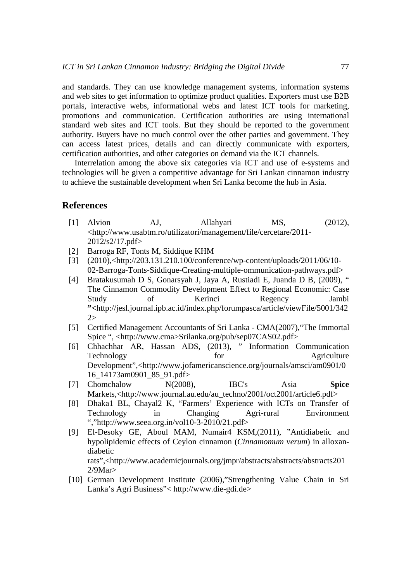and standards. They can use knowledge management systems, information systems and web sites to get information to optimize product qualities. Exporters must use B2B portals, interactive webs, informational webs and latest ICT tools for marketing, promotions and communication. Certification authorities are using international standard web sites and ICT tools. But they should be reported to the government authority. Buyers have no much control over the other parties and government. They can access latest prices, details and can directly communicate with exporters, certification authorities, and other categories on demand via the ICT channels.

Interrelation among the above six categories via ICT and use of e-systems and technologies will be given a competitive advantage for Sri Lankan cinnamon industry to achieve the sustainable development when Sri Lanka become the hub in Asia.

### **References**

- [1] Alvion AJ, Allahyari MS, (2012), <http://www.usabtm.ro/utilizatori/management/file/cercetare/2011- 2012/s2/17.pdf>
- [2] Barroga RF, Tonts M, Siddique KHM
- [3] (2010),<http://203.131.210.100/conference/wp-content/uploads/2011/06/10- 02-Barroga-Tonts-Siddique-Creating-multiple-ommunication-pathways.pdf>
- [4] Bratakusumah D S, Gonarsyah J, Jaya A, Rustiadi E, Juanda D B, (2009), " The Cinnamon Commodity Development Effect to Regional Economic: Case Study of Kerinci Regency Jambi **"<**http://jesl.journal.ipb.ac.id/index.php/forumpasca/article/viewFile/5001/342 2>
- [5] Certified Management Accountants of Sri Lanka CMA(2007),"The Immortal Spice ", <http://www.cma>Srilanka.org/pub/sep07CAS02.pdf>
- [6] Chhachhar AR, Hassan ADS, (2013), " Information Communication Technology for Agriculture Development",<http://www.jofamericanscience.org/journals/amsci/am0901/0 16\_14173am0901\_85\_91.pdf>
- [7] Chomchalow N(2008), IBC's Asia **Spice**  Markets,<http://www.journal.au.edu/au\_techno/2001/oct2001/article6.pdf>
- [8] Dhaka1 BL, Chayal2 K, "Farmers' Experience with ICTs on Transfer of Technology in Changing Agri-rural Environment ","http://www.seea.org.in/vol10-3-2010/21.pdf>
- [9] El-Desoky GE, Aboul MAM, Numair4 KSM,(2011), "Antidiabetic and hypolipidemic effects of Ceylon cinnamon (*Cinnamomum verum*) in alloxandiabetic rats",<http://www.academicjournals.org/jmpr/abstracts/abstracts/abstracts201

2/9Mar> [10] German Development Institute (2006),"Strengthening Value Chain in Sri

Lanka's Agri Business"< http://www.die-gdi.de>